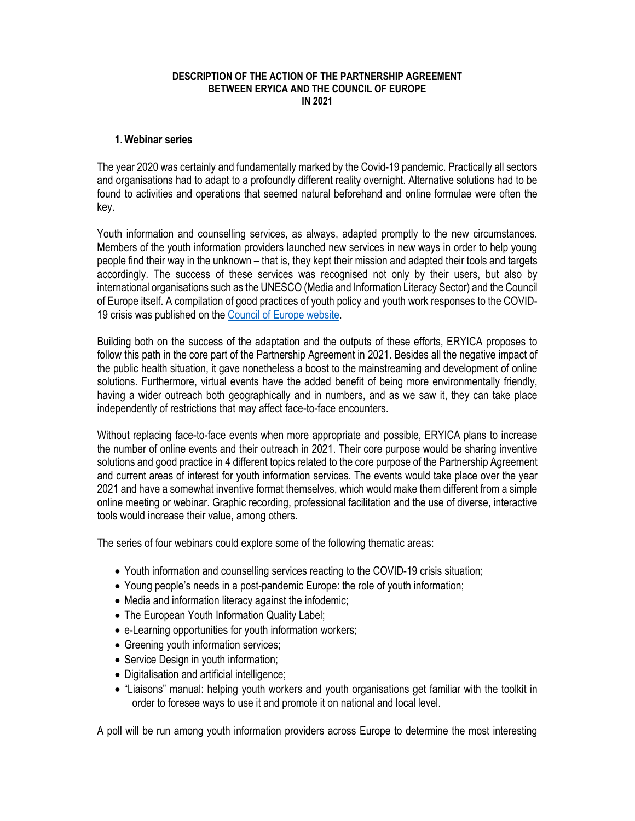## **DESCRIPTION OF THE ACTION OF THE PARTNERSHIP AGREEMENT BETWEEN ERYICA AND THE COUNCIL OF EUROPE IN 2021**

## **1.Webinar series**

The year 2020 was certainly and fundamentally marked by the Covid-19 pandemic. Practically all sectors and organisations had to adapt to a profoundly different reality overnight. Alternative solutions had to be found to activities and operations that seemed natural beforehand and online formulae were often the key.

Youth information and counselling services, as always, adapted promptly to the new circumstances. Members of the youth information providers launched new services in new ways in order to help young people find their way in the unknown – that is, they kept their mission and adapted their tools and targets accordingly. The success of these services was recognised not only by their users, but also by international organisations such as the UNESCO (Media and Information Literacy Sector) and the Council of Europe itself. A compilation of good practices of youth policy and youth work responses to the COVID-19 crisis was published on the Council of Europe website.

Building both on the success of the adaptation and the outputs of these efforts, ERYICA proposes to follow this path in the core part of the Partnership Agreement in 2021. Besides all the negative impact of the public health situation, it gave nonetheless a boost to the mainstreaming and development of online solutions. Furthermore, virtual events have the added benefit of being more environmentally friendly, having a wider outreach both geographically and in numbers, and as we saw it, they can take place independently of restrictions that may affect face-to-face encounters.

Without replacing face-to-face events when more appropriate and possible, ERYICA plans to increase the number of online events and their outreach in 2021. Their core purpose would be sharing inventive solutions and good practice in 4 different topics related to the core purpose of the Partnership Agreement and current areas of interest for youth information services. The events would take place over the year 2021 and have a somewhat inventive format themselves, which would make them different from a simple online meeting or webinar. Graphic recording, professional facilitation and the use of diverse, interactive tools would increase their value, among others.

The series of four webinars could explore some of the following thematic areas:

- Youth information and counselling services reacting to the COVID-19 crisis situation;
- Young people's needs in a post-pandemic Europe: the role of youth information;
- Media and information literacy against the infodemic;
- The European Youth Information Quality Label;
- e-Learning opportunities for youth information workers;
- Greening youth information services;
- Service Design in youth information;
- Digitalisation and artificial intelligence;
- "Liaisons" manual: helping youth workers and youth organisations get familiar with the toolkit in order to foresee ways to use it and promote it on national and local level.

A poll will be run among youth information providers across Europe to determine the most interesting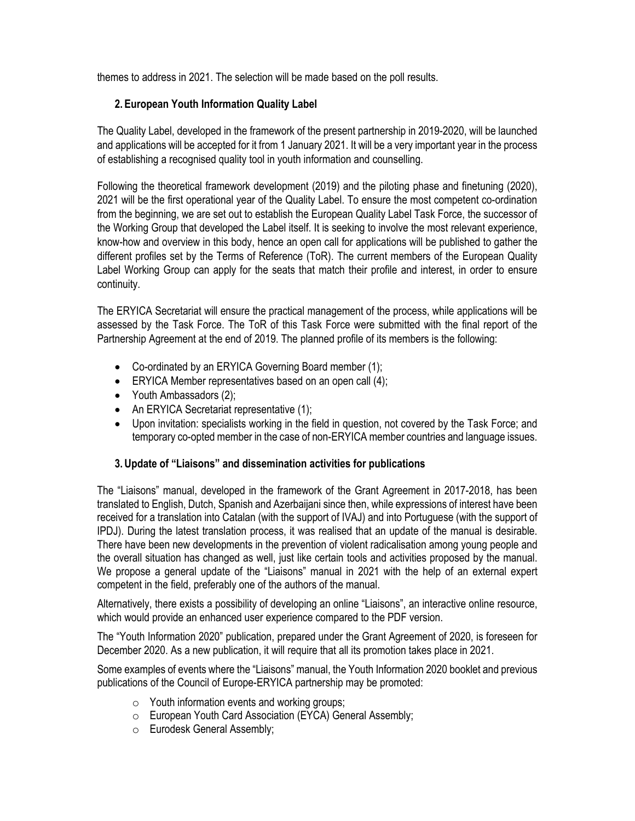themes to address in 2021. The selection will be made based on the poll results.

## **2. European Youth Information Quality Label**

The Quality Label, developed in the framework of the present partnership in 2019-2020, will be launched and applications will be accepted for it from 1 January 2021. It will be a very important year in the process of establishing a recognised quality tool in youth information and counselling.

Following the theoretical framework development (2019) and the piloting phase and finetuning (2020), 2021 will be the first operational year of the Quality Label. To ensure the most competent co-ordination from the beginning, we are set out to establish the European Quality Label Task Force, the successor of the Working Group that developed the Label itself. It is seeking to involve the most relevant experience, know-how and overview in this body, hence an open call for applications will be published to gather the different profiles set by the Terms of Reference (ToR). The current members of the European Quality Label Working Group can apply for the seats that match their profile and interest, in order to ensure continuity.

The ERYICA Secretariat will ensure the practical management of the process, while applications will be assessed by the Task Force. The ToR of this Task Force were submitted with the final report of the Partnership Agreement at the end of 2019. The planned profile of its members is the following:

- Co-ordinated by an ERYICA Governing Board member (1);
- ERYICA Member representatives based on an open call (4);
- Youth Ambassadors (2);
- An ERYICA Secretariat representative (1);
- Upon invitation: specialists working in the field in question, not covered by the Task Force; and temporary co-opted member in the case of non-ERYICA member countries and language issues.

## **3. Update of "Liaisons" and dissemination activities for publications**

The "Liaisons" manual, developed in the framework of the Grant Agreement in 2017-2018, has been translated to English, Dutch, Spanish and Azerbaijani since then, while expressions of interest have been received for a translation into Catalan (with the support of IVAJ) and into Portuguese (with the support of IPDJ). During the latest translation process, it was realised that an update of the manual is desirable. There have been new developments in the prevention of violent radicalisation among young people and the overall situation has changed as well, just like certain tools and activities proposed by the manual. We propose a general update of the "Liaisons" manual in 2021 with the help of an external expert competent in the field, preferably one of the authors of the manual.

Alternatively, there exists a possibility of developing an online "Liaisons", an interactive online resource, which would provide an enhanced user experience compared to the PDF version.

The "Youth Information 2020" publication, prepared under the Grant Agreement of 2020, is foreseen for December 2020. As a new publication, it will require that all its promotion takes place in 2021.

Some examples of events where the "Liaisons" manual, the Youth Information 2020 booklet and previous publications of the Council of Europe-ERYICA partnership may be promoted:

- o Youth information events and working groups;
- o European Youth Card Association (EYCA) General Assembly;
- o Eurodesk General Assembly;